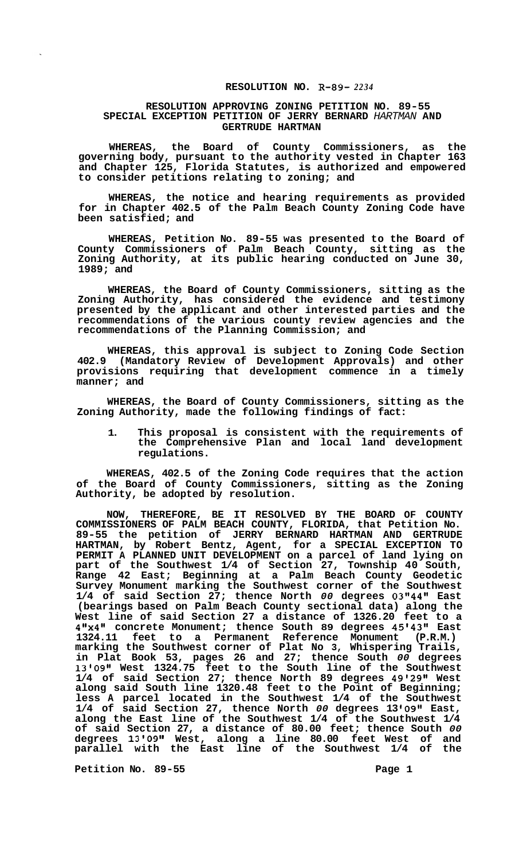## **RESOLUTION NO. R-89-** *2234*

## **RESOLUTION APPROVING ZONING PETITION NO. 89-55 SPECIAL EXCEPTION PETITION OF JERRY BERNARD** *HARTMAN* **AND GERTRUDE HARTMAN**

**WHEREAS, the Board of County Commissioners, as the governing body, pursuant to the authority vested in Chapter 163 and Chapter 125, Florida Statutes, is authorized and empowered to consider petitions relating to zoning; and** 

**WHEREAS, the notice and hearing requirements as provided for in Chapter 402.5 of the Palm Beach County Zoning Code have been satisfied; and** 

**WHEREAS, Petition No. 89-55 was presented to the Board of County Commissioners of Palm Beach County, sitting as the Zoning Authority, at its public hearing conducted on June 30, 1989; and** 

**WHEREAS, the Board of County Commissioners, sitting as the Zoning Authority, has considered the evidence and testimony presented by the applicant and other interested parties and the recommendations of the various county review agencies and the recommendations of the Planning Commission; and** 

**WHEREAS, this approval is subject to Zoning Code Section 402.9 (Mandatory Review of Development Approvals) and other provisions requiring that development commence in a timely manner; and** 

**WHEREAS, the Board of County Commissioners, sitting as the Zoning Authority, made the following findings of fact:** 

**1. This proposal is consistent with the requirements of the Comprehensive Plan and local land development regulations.** 

**WHEREAS, 402.5 of the Zoning Code requires that the action of the Board of County Commissioners, sitting as the Zoning Authority, be adopted by resolution.** 

**NOW, THEREFORE, BE IT RESOLVED BY THE BOARD OF COUNTY COMMISSIONERS OF PALM BEACH COUNTY, FLORIDA, that Petition No. 89-55 the petition of JERRY BERNARD HARTMAN AND GERTRUDE HARTMAN, by Robert Bentz, Agent, for a SPECIAL EXCEPTION TO PERMIT A PLANNED UNIT DEVELOPMENT on a parcel of land lying on part of the Southwest 1/4 of Section 27, Township 40 South, Range 42 East; Beginning at a Palm Beach County Geodetic Survey Monument marking the Southwest corner of the Southwest 1/4 of said Section 27; thence North** *00* **degrees 03114411 East (bearings based on Palm Beach County sectional data) along the West line of said Section 27 a distance of 1326.20 feet to a 411x411 concrete Monument; thence South 89 degrees 45'43" East 1324.11 feet to a Permanent Reference Monument (P.R.M.) marking the Southwest corner of Plat No 3, Whispering Trails, in Plat Book 53, pages 26 and 27; thence South** *00* **degrees 1310911 West 1324.75 feet to the South line of the Southwest 1/4 of said Section 27; thence North 89 degrees 49'29" West along said South line 1320.48 feet to the Point of Beginning; less A parcel located in the Southwest 1/4 of the Southwest 1/4 of said Section 27, thence North** *00* **degrees 13 10911 East, along the East line of the Southwest 1/4 of the Southwest 1/4 of said Section 27, a distance of 80.00 feet; thence South** *00*  **degrees 1310911 West, along a line 80.00 feet West of and parallel with the East line of the Southwest 1/4 of the** 

Petition No. 89-55 Page 1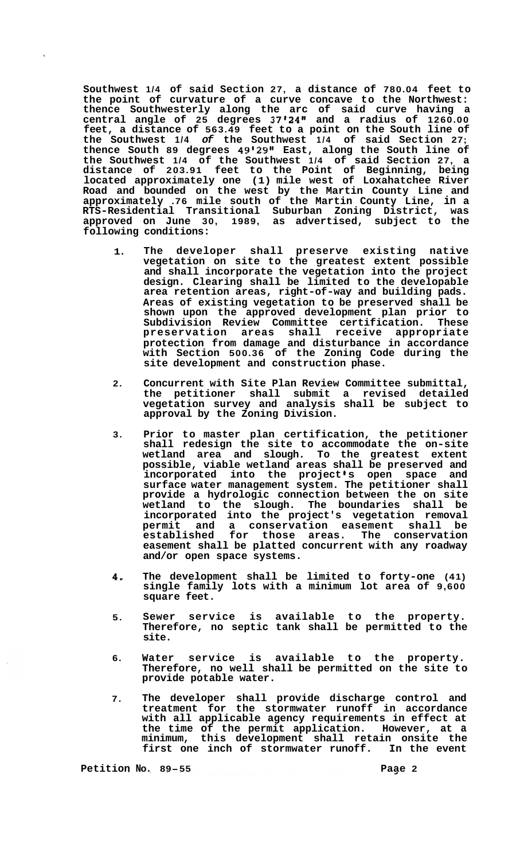**Southwest 1/4 of said Section 27, a distance of 780.04 feet to the point of curvature of a curve concave to the Northwest: thence Southwesterly along the arc of said curve having a central angle of 25 degrees 37'24" and a radius of 1260.00 feet, a distance of 563.49 feet to a point on the South line of the Southwest 1/4** *of* **the Southwest 1/4 of said Section 27; thence South 89 degrees 49'29Il East, along the South line of the Southwest 1/4 of the Southwest 1/4 of said Section 27, a distance of 203.91 feet to the Point of Beginning, being located approximately one (1) mile west of Loxahatchee River Road and bounded on the west by the Martin County Line and approximately .76 mile south of the Martin County Line, in a RTS-Residential Transitional Suburban Zoning District, was approved on June 30, 1989, as advertised, subject to the following conditions:** 

- **1. The developer shall preserve existing native vegetation on site to the greatest extent possible and shall incorporate the vegetation into the project design. Clearing shall be limited to the developable area retention areas, right-of-way and building pads. Areas of existing vegetation to be preserved shall be shown upon the approved development plan prior to**  Subdivision Review Committee certification. **preservation areas shall receive appropriate protection from damage and disturbance in accordance with Section 500.36 of the Zoning Code during the site development and construction phase.**
- **2. Concurrent with Site Plan Review Committee submittal, the petitioner shall submit a revised detailed vegetation survey and analysis shall be subject to approval by the Zoning Division.**
- **3. Prior to master plan certification, the petitioner shall redesign the site to accommodate the on-site wetland area and slough. To the greatest extent possible, viable wetland areas shall be preserved and**  incorporated into the project's open space and **surface water management system. The petitioner shall provide a hydrologic connection between the on site wetland to the slough. The boundaries shall be incorporated into the project's vegetation removal permit and a conservation easement shall be established for those areas. The conservation easement shall be platted concurrent with any roadway and/or open space systems.**
- **4, The development shall be limited to forty-one (41) single family lots with a minimum lot area of 9,600 square feet.**
- **5. Sewer service is available to the property. Therefore, no septic tank shall be permitted to the site.**
- **6. Water service is available to the property. Therefore, no well shall be permitted on the site to provide potable water.**
- **7. The developer shall provide discharge control and treatment for the stormwater runoff in accordance with all applicable agency requirements in effect at the time of the permit application. However, at a minimum, this development shall retain onsite the first one inch of stormwater runoff. In the event**

**Petition NO. 89-55 Paae 2**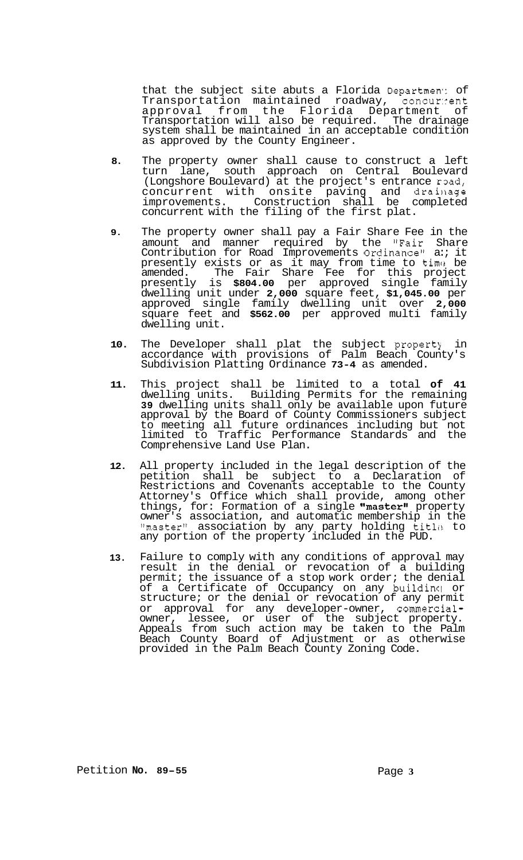that the subject site abuts a Florida Departmen: of Transportation maintained roadway, concurrent approval from the Florida Department of Transportation will also be required. The drainage system shall be maintained in an acceptable condition as approved by the County Engineer.

- **8.** The property owner shall cause to construct a left turn lane, south approach on Central Boulevard (Longshore Boulevard) at the project's entrance road, concurrent with onsite paving and drainage improvements. Construction shall be completed concurrent with the filing of the first plat.
- **9.** The property owner shall pay a Fair Share Fee in the amount and manner required by the "Fair Share Contribution for Road Improvements Ordinance" a:; it presently exists or as it may from time to time be amended. The Fair Share Fee for this project presently is **\$804.00** per approved single family dwelling unit under **2,000** square feet, **\$1,045.00** per approved single family dwelling unit over **2,000**  square feet and **\$562.00** per approved multi family dwelling unit.
- **10.** The Developer shall plat the subject propertj in accordance with provisions of Palm Beach County's Subdivision Platting Ordinance **73-4** as amended.
- **11.** This project shall be limited to a total **of 41**  dwelling units. Building Permits for the remaining **39** dwelling units shall only be available upon future approval by the Board of County Commissioners subject to meeting all future ordinances including but not limited to Traffic Performance Standards and the Comprehensive Land Use Plan.
- **12.**  All property included in the legal description of the petition shall be subject to a Declaration of Restrictions and Covenants acceptable to the County Attorney's Office which shall provide, among other things, for: Formation of a single  $\mathsf{^\textsf{m}}\text{as}\mathsf{ter}\text{^\textsf{u}}$  property owner's association, and automatic membership in the "master" association by any party holding title to any portion of the property included in the PUD.
- **13.**  Failure to comply with any conditions of approval may result in the denial or revocation of a building permit; the issuance of a stop work order; the denial of a Certificate of Occupancy on any building or structure; or the denial or revocation of any permit or approval for any developer-owner, commercialowner, lessee, or user of the subject property. Appeals from such action may be taken to the Palm Beach County Board of Adjustment or as otherwise provided in the Palm Beach County Zoning Code.